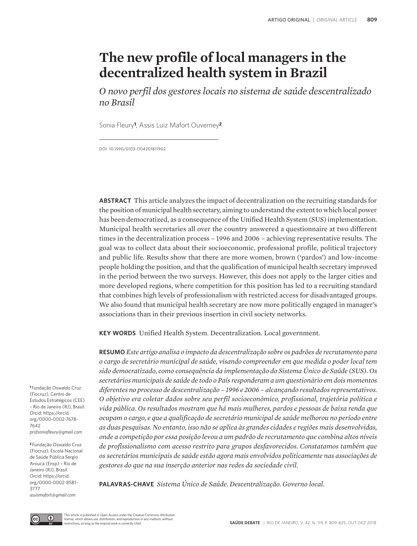# **The new profile of local managers in the decentralized health system in Brazil**

*O novo perfil dos gestores locais no sistema de saúde descentralizado no Brasil* 

Sonia Fleury**1**, Assis Luiz Mafort Ouverney**<sup>2</sup>**

DOI: 10.1590/0103-1104201811902

**ABSTRACT** This article analyzes the impact of decentralization on the recruiting standards for the position of municipal health secretary, aiming to understand the extent to which local power has been democratized, as a consequence of the Unified Health System (SUS) implementation. Municipal health secretaries all over the country answered a questionnaire at two different times in the decentralization process – 1996 and 2006 – achieving representative results. The goal was to collect data about their socioeconomic, professional profile, political trajectory and public life. Results show that there are more women, brown ('pardos') and low-income people holding the position, and that the qualification of municipal health secretary improved in the period between the two surveys. However, this does not apply to the larger cities and more developed regions, where competition for this position has led to a recruiting standard that combines high levels of professionalism with restricted access for disadvantaged groups. We also found that municipal health secretary are now more politically engaged in manager's associations than in their previous insertion in civil society networks.

**KEY WORDS** Unified Health System. Decentralization. Local government.

**RESUMO** *Este artigo analisa o impacto da descentralização sobre os padrões de recrutamento para o cargo de secretário municipal de saúde, visando compreender em que medida o poder local tem sido democratizado, como consequência da implementação do Sistema Único de Saúde (SUS). Os secretários municipais de saúde de todo o País responderam a um questionário em dois momentos diferentes no processo de descentralização – 1996 e 2006 – alcançando resultados representativos. O objetivo era coletar dados sobre seu perfil socioeconômico, profissional, trajetória política e vida pública. Os resultados mostram que há mais mulheres, pardos e pessoas de baixa renda que ocupam o cargo, e que a qualificação de secretário municipal de saúde melhorou no período entre as duas pesquisas. No entanto, isso não se aplica às grandes cidades e regiões mais desenvolvidas, onde a competição por essa posição levou a um padrão de recrutamento que combina altos níveis de profissionalismo com acesso restrito para grupos desfavorecidos. Constatamos também que os secretários municipais de saúde estão agora mais envolvidos politicamente nas associações de gestores do que na sua inserção anterior nas redes da sociedade civil.*

**PALAVRAS-CHAVE** *Sistema Único de Saúde. Descentralização. Governo local.*

**<sup>1</sup>**Fundação Oswaldo Cruz (Fiocruz), Centro de Estudos Estratégicos (CEE) – Rio de Janeiro (RJ), Brasil. Orcid: https://orcid. org/0000-0002-7678- 7642 *profsoniafleury@gmail.com*

**<sup>2</sup>**Fundação Oswaldo Cruz (Fiocruz), Escola Nacional de Saúde Pública Sergio Arouca (Ensp) – Rio de Janeiro (RJ), Brasil. Orcid: https://orcid. org/0000-0002-8581- 3777 *assismafort@gmail.com*



This article is published in Open Access under the Creative Commons Attribution license, which allows use, distribution, and reproduction in any medium, without restrictions, as long as the original work is correctly cited.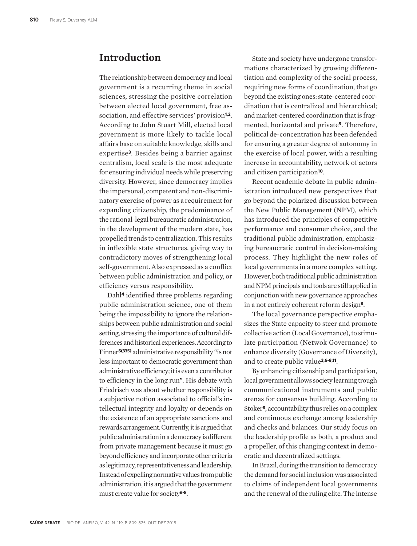## **Introduction**

The relationship between democracy and local government is a recurring theme in social sciences, stressing the positive correlation between elected local government, free association, and effective services' provision**1,2**. According to John Stuart Mill, elected local government is more likely to tackle local affairs base on suitable knowledge, skills and expertise**3**. Besides being a barrier against centralism, local scale is the most adequate for ensuring individual needs while preserving diversity. However, since democracy implies the impersonal, competent and non-discriminatory exercise of power as a requirement for expanding citizenship, the predominance of the rational-legal bureaucratic administration, in the development of the modern state, has propelled trends to centralization. This results in inflexible state structures, giving way to contradictory moves of strengthening local self-government. Also expressed as a conflict between public administration and policy, or efficiency versus responsibility.

Dahl**4** identified three problems regarding public administration science, one of them being the impossibility to ignore the relationships between public administration and social setting, stressing the importance of cultural differences and historical experiences. According to Finner**5(335)** administrative responsibility "is not less important to democratic government than administrative efficiency; it is even a contributor to efficiency in the long run". His debate with Friedrisch was about whether responsibility is a subjective notion associated to official's intellectual integrity and loyalty or depends on the existence of an appropriate sanctions and rewards arrangement. Currently, it is argued that public administration in a democracy is different from private management because it must go beyond efficiency and incorporate other criteria as legitimacy, representativeness and leadership. Instead of expelling normative values from public administration, it is argued that the government must create value for society**6-8**.

State and society have undergone transformations characterized by growing differentiation and complexity of the social process, requiring new forms of coordination, that go beyond the existing ones: state-centered coordination that is centralized and hierarchical; and market-centered coordination that is fragmented, horizontal and private**9**. Therefore, political de-concentration has been defended for ensuring a greater degree of autonomy in the exercise of local power, with a resulting increase in accountability, network of actors and citizen participation**10**.

Recent academic debate in public administration introduced new perspectives that go beyond the polarized discussion between the New Public Management (NPM), which has introduced the principles of competitive performance and consumer choice, and the traditional public administration, emphasizing bureaucratic control in decision-making process. They highlight the new roles of local governments in a more complex setting. However, both traditional public administration and NPM principals and tools are still applied in conjunction with new governance approaches in a not entirely coherent reform design**8**.

The local governance perspective emphasizes the State capacity to steer and promote collective action (Local Governance), to stimulate participation (Netwok Governance) to enhance diversity (Governance of Diversity), and to create public value**3,6-8,11**.

By enhancing citizenship and participation, local government allows society learning trough communicational instruments and public arenas for consensus building. According to Stoker**8**, accountability thus relies on a complex and continuous exchange among leadership and checks and balances. Our study focus on the leadership profile as both, a product and a propeller, of this changing context in democratic and decentralized settings.

In Brazil, during the transition to democracy the demand for social inclusion was associated to claims of independent local governments and the renewal of the ruling elite. The intense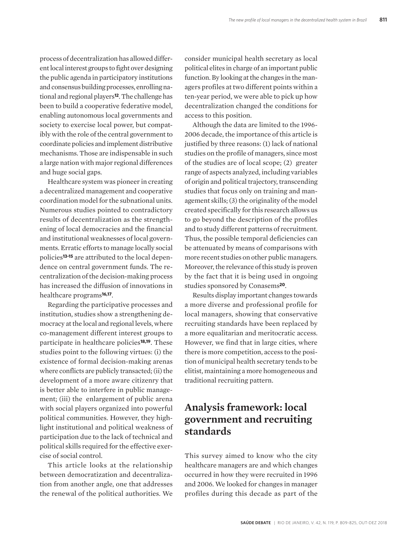process of decentralization has allowed different local interest groups to fight over designing the public agenda in participatory institutions and consensus building processes, enrolling national and regional players**12**. The challenge has been to build a cooperative federative model, enabling autonomous local governments and society to exercise local power, but compatibly with the role of the central government to coordinate policies and implement distributive mechanisms. Those are indispensable in such a large nation with major regional differences and huge social gaps.

Healthcare system was pioneer in creating a decentralized management and cooperative coordination model for the subnational units. Numerous studies pointed to contradictory results of decentralization as the strengthening of local democracies and the financial and institutional weaknesses of local governments. Erratic efforts to manage locally social policies**13-15** are attributed to the local dependence on central government funds. The recentralization of the decision-making process has increased the diffusion of innovations in healthcare programs**16,17**.

Regarding the participative processes and institution, studies show a strengthening democracy at the local and regional levels, where co-management different interest groups to participate in healthcare policies**18,19**. These studies point to the following virtues: (i) the existence of formal decision-making arenas where conflicts are publicly transacted; (ii) the development of a more aware citizenry that is better able to interfere in public management; (iii) the enlargement of public arena with social players organized into powerful political communities. However, they highlight institutional and political weakness of participation due to the lack of technical and political skills required for the effective exercise of social control.

This article looks at the relationship between democratization and decentralization from another angle, one that addresses the renewal of the political authorities. We consider municipal health secretary as local political elites in charge of an important public function. By looking at the changes in the managers profiles at two different points within a ten-year period, we were able to pick up how decentralization changed the conditions for access to this position.

Although the data are limited to the 1996- 2006 decade, the importance of this article is justified by three reasons: (1) lack of national studies on the profile of managers, since most of the studies are of local scope; (2) greater range of aspects analyzed, including variables of origin and political trajectory, transcending studies that focus only on training and management skills; (3) the originality of the model created specifically for this research allows us to go beyond the description of the profiles and to study different patterns of recruitment. Thus, the possible temporal deficiencies can be attenuated by means of comparisons with more recent studies on other public managers. Moreover, the relevance of this study is proven by the fact that it is being used in ongoing studies sponsored by Conasems**20**.

Results display important changes towards a more diverse and professional profile for local managers, showing that conservative recruiting standards have been replaced by a more equalitarian and meritocratic access. However, we find that in large cities, where there is more competition, access to the position of municipal health secretary tends to be elitist, maintaining a more homogeneous and traditional recruiting pattern.

# **Analysis framework: local government and recruiting standards**

This survey aimed to know who the city healthcare managers are and which changes occurred in how they were recruited in 1996 and 2006. We looked for changes in manager profiles during this decade as part of the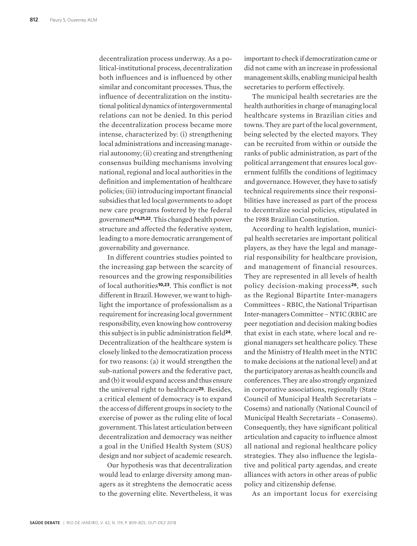decentralization process underway. As a political-institutional process, decentralization both influences and is influenced by other similar and concomitant processes. Thus, the influence of decentralization on the institutional political dynamics of intergovernmental relations can not be denied. In this period the decentralization process became more intense, characterized by: (i) strengthening local administrations and increasing managerial autonomy; (ii) creating and strengthening consensus building mechanisms involving national, regional and local authorities in the definition and implementation of healthcare policies; (iii) introducing important financial subsidies that led local governments to adopt new care programs fostered by the federal government**14,21,22**. This changed health power structure and affected the federative system, leading to a more democratic arrangement of governability and governance.

In different countries studies pointed to the increasing gap between the scarcity of resources and the growing responsibilities of local authorities**10,23**. This conflict is not different in Brazil. However, we want to highlight the importance of professionalism as a requirement for increasing local government responsibility, even knowing how controversy this subject is in public administration field**24**. Decentralization of the healthcare system is closely linked to the democratization process for two reasons: (a) it would strengthen the sub-national powers and the federative pact, and (b) it would expand access and thus ensure the universal right to healthcare**25**. Besides, a critical element of democracy is to expand the access of different groups in society to the exercise of power as the ruling elite of local government. This latest articulation between decentralization and democracy was neither a goal in the Unified Health System (SUS) design and nor subject of academic research.

Our hypothesis was that decentralization would lead to enlarge diversity among managers as it streghtens the democratic acess to the governing elite. Nevertheless, it was important to check if democratization came or did not came with an increase in professional management skills, enabling municipal health secretaries to perform effectively.

The municipal health secretaries are the health authorities in charge of managing local healthcare systems in Brazilian cities and towns. They are part of the local government, being selected by the elected mayors. They can be recruited from within or outside the ranks of public administration, as part of the political arrangement that ensures local government fulfills the conditions of legitimacy and governance. However, they have to satisfy technical requirements since their responsibilities have increased as part of the process to decentralize social policies, stipulated in the 1988 Brazilian Constitution.

According to health legislation, municipal health secretaries are important political players, as they have the legal and managerial responsibility for healthcare provision, and management of financial resources. They are represented in all levels of health policy decision-making process**26**, such as the Regional Bipartite Inter-managers Committees – RBIC, the National Tripartisan Inter-managers Committee – NTIC (RBIC are peer negotiation and decision making bodies that exist in each state, where local and regional managers set healthcare policy. These and the Ministry of Health meet in the NTIC to make decisions at the national level) and at the participatory arenas as health councils and conferences. They are also strongly organized in corporative associations, regionally (State Council of Municipal Health Secretariats – Cosems) and nationally (National Council of Municipal Health Secretariats – Conasems). Consequently, they have significant political articulation and capacity to influence almost all national and regional healthcare policy strategies. They also influence the legislative and political party agendas, and create alliances with actors in other areas of public policy and citizenship defense.

As an important locus for exercising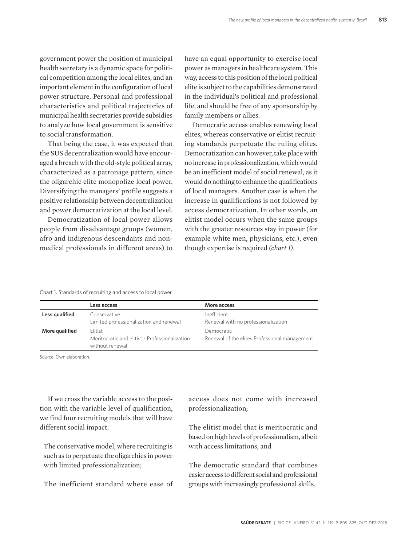government power the position of municipal health secretary is a dynamic space for political competition among the local elites, and an important element in the configuration of local power structure. Personal and professional characteristics and political trajectories of municipal health secretaries provide subsidies to analyze how local government is sensitive to social transformation.

That being the case, it was expected that the SUS decentralization would have encouraged a breach with the old-style political array, characterized as a patronage pattern, since the oligarchic elite monopolize local power. Diversifying the managers' profile suggests a positive relationship between decentralization and power democratization at the local level.

Democratization of local power allows people from disadvantage groups (women, afro and indigenous descendants and nonmedical professionals in different areas) to have an equal opportunity to exercise local power as managers in healthcare system. This way, access to this position of the local political elite is subject to the capabilities demonstrated in the individual's political and professional life, and should be free of any sponsorship by family members or allies.

Democratic access enables renewing local elites, whereas conservative or elitist recruiting standards perpetuate the ruling elites. Democratization can however, take place with no increase in professionalization, which would be an inefficient model of social renewal, as it would do nothing to enhance the qualifications of local managers. Another case is when the increase in qualifications is not followed by access democratization. In other words, an elitist model occurs when the same groups with the greater resources stay in power (for example white men, physicians, etc.), even though expertise is required *(chart 1)*.

Chart 1. Standards of recruiting and access to local power

|                | Less access                                                                  | More access                                                 |
|----------------|------------------------------------------------------------------------------|-------------------------------------------------------------|
| Less qualified | Conservative<br>Limited professionalization and renewal                      | Inefficient<br>Renewal with no professionalization          |
| More qualified | Flitist<br>Meritocratic and elitist - Professionalization<br>without renewal | Democratic<br>Renewal of the elites Professional management |

Source: Own elaboration.

If we cross the variable access to the position with the variable level of qualification, we find four recruiting models that will have different social impact:

The conservative model, where recruiting is such as to perpetuate the oligarchies in power with limited professionalization;

The inefficient standard where ease of

access does not come with increased professionalization;

The elitist model that is meritocratic and based on high levels of professionalism, albeit with access limitations, and

The democratic standard that combines easier access to different social and professional groups with increasingly professional skills.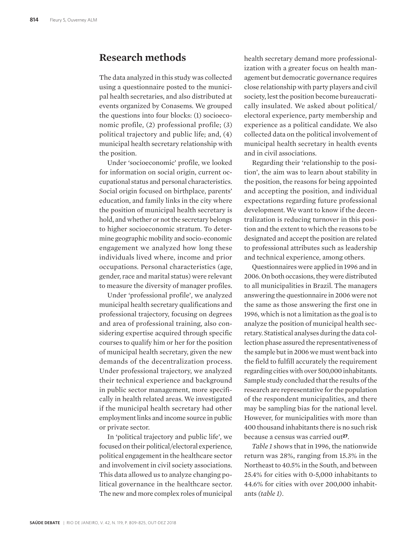### **Research methods**

The data analyzed in this study was collected using a questionnaire posted to the municipal health secretaries, and also distributed at events organized by Conasems. We grouped the questions into four blocks: (1) socioeconomic profile, (2) professional profile; (3) political trajectory and public life; and, (4) municipal health secretary relationship with the position.

Under 'socioeconomic' profile, we looked for information on social origin, current occupational status and personal characteristics. Social origin focused on birthplace, parents' education, and family links in the city where the position of municipal health secretary is hold, and whether or not the secretary belongs to higher socioeconomic stratum. To determine geographic mobility and socio-economic engagement we analyzed how long these individuals lived where, income and prior occupations. Personal characteristics (age, gender, race and marital status) were relevant to measure the diversity of manager profiles.

Under 'professional profile', we analyzed municipal health secretary qualifications and professional trajectory, focusing on degrees and area of professional training, also considering expertise acquired through specific courses to qualify him or her for the position of municipal health secretary, given the new demands of the decentralization process. Under professional trajectory, we analyzed their technical experience and background in public sector management, more specifically in health related areas. We investigated if the municipal health secretary had other employment links and income source in public or private sector.

In 'political trajectory and public life', we focused on their political/electoral experience, political engagement in the healthcare sector and involvement in civil society associations. This data allowed us to analyze changing political governance in the healthcare sector. The new and more complex roles of municipal

health secretary demand more professionalization with a greater focus on health management but democratic governance requires close relationship with party players and civil society, lest the position become bureaucratically insulated. We asked about political/ electoral experience, party membership and experience as a political candidate. We also collected data on the political involvement of municipal health secretary in health events and in civil associations.

Regarding their 'relationship to the position', the aim was to learn about stability in the position, the reasons for being appointed and accepting the position, and individual expectations regarding future professional development. We want to know if the decentralization is reducing turnover in this position and the extent to which the reasons to be designated and accept the position are related to professional attributes such as leadership and technical experience, among others.

Questionnaires were applied in 1996 and in 2006. On both occasions, they were distributed to all municipalities in Brazil. The managers answering the questionnaire in 2006 were not the same as those answering the first one in 1996, which is not a limitation as the goal is to analyze the position of municipal health secretary. Statistical analyses during the data collection phase assured the representativeness of the sample but in 2006 we must went back into the field to fulfill accurately the requirement regarding cities with over 500,000 inhabitants. Sample study concluded that the results of the research are representative for the population of the respondent municipalities, and there may be sampling bias for the national level. However, for municipalities with more than 400 thousand inhabitants there is no such risk because a census was carried out**27**.

*Table 1* shows that in 1996, the nationwide return was 28%, ranging from 15.3% in the Northeast to 40.5% in the South, and between 25.4% for cities with 0-5,000 inhabitants to 44.6% for cities with over 200,000 inhabitants *(table 1)*.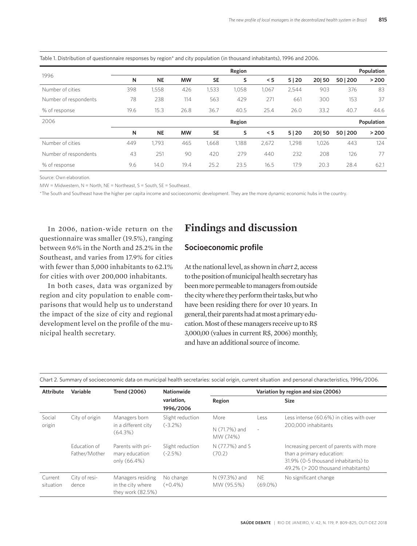| 1996                  |      |           |           |           | Region |       |            |       |          | Population |
|-----------------------|------|-----------|-----------|-----------|--------|-------|------------|-------|----------|------------|
|                       | N    | <b>NE</b> | <b>MW</b> | <b>SE</b> | s      | < 5   | 5 20       | 20 50 | 50   200 | > 200      |
| Number of cities      | 398  | 1,558     | 426       | 1,533     | 1,058  | 1,067 | 2,544      | 903   | 376      | 83         |
| Number of respondents | 78   | 238       | 114       | 563       | 429    | 271   | 661        | 300   | 153      | 37         |
| % of response         | 19.6 | 15.3      | 26.8      | 36.7      | 40.5   | 25.4  | 26.0       | 33.2  | 40.7     | 44.6       |
| 2006<br>Region        |      |           |           |           |        |       | Population |       |          |            |
|                       | N    | <b>NE</b> | <b>MW</b> | <b>SE</b> | s      | < 5   | 5 20       | 20 50 | 50   200 | > 200      |
| Number of cities      | 449  | 1,793     | 465       | 1,668     | 1,188  | 2,672 | 1,298      | 1,026 | 443      | 124        |
| Number of respondents | 43   | 251       | 90        | 420       | 279    | 440   | 232        | 208   | 126      | 77         |
| % of response         | 9.6  | 14.0      | 19.4      | 25.2      | 23.5   | 16.5  | 17.9       | 20.3  | 28.4     | 62.1       |

Table 1. Distribution of questionnaire responses by region\* and city population (in thousand inhabitants), 1996 and 2006.

Source: Own elaboration.

MW = Midwestern, N = North, NE = Northeast, S = South, SE = Southeast.

\*The South and Southeast have the higher per capita income and socioeconomic development. They are the more dynamic economic hubs in the country.

In 2006, nation-wide return on the questionnaire was smaller (19.5%), ranging between 9.6% in the North and 25.2% in the Southeast, and varies from 17.9% for cities with fewer than 5,000 inhabitants to 62.1% for cities with over 200,000 inhabitants.

In both cases, data was organized by region and city population to enable comparisons that would help us to understand the impact of the size of city and regional development level on the profile of the municipal health secretary.

# **Findings and discussion**

#### **Socioeconomic profile**

At the national level, as shown in *chart 2*, access to the position of municipal health secretary has been more permeable to managers from outside the city where they perform their tasks, but who have been residing there for over 10 years. In general, their parents had at most a primary education. Most of these managers receive up to R\$ 3,000,00 (values in current R\$, 2006) monthly, and have an additional source of income.

| <b>Attribute</b>     | Variable                                     | <b>Trend (2006)</b>                                         | <b>Nationwide</b>             |                             |                         | Variation by region and size (2006)                                                                                                               |
|----------------------|----------------------------------------------|-------------------------------------------------------------|-------------------------------|-----------------------------|-------------------------|---------------------------------------------------------------------------------------------------------------------------------------------------|
|                      |                                              |                                                             | variation,<br>1996/2006       | Region                      |                         | <b>Size</b>                                                                                                                                       |
| Social               | City of origin                               | Managers born                                               | Slight reduction              | More                        | Less                    | Less intense (60.6%) in cities with over                                                                                                          |
| origin               | in a different city<br>$(-3.2\%)$<br>(64.3%) | N (71.7%) and<br>MW (74%)                                   | $\overline{\phantom{a}}$      | 200,000 inhabitants         |                         |                                                                                                                                                   |
|                      | Education of<br>Father/Mother                | Parents with pri-<br>mary education<br>only (66.4%)         | Slight reduction<br>$(-2.5%)$ | N (77.7%) and S<br>(70.2)   |                         | Increasing percent of parents with more<br>than a primary education:<br>31.9% (0-5 thousand inhabitants) to<br>49.2% (> 200 thousand inhabitants) |
| Current<br>situation | City of resi-<br>dence                       | Managers residing<br>in the city where<br>they work (82.5%) | No change<br>$(+0.4\%)$       | N (97.3%) and<br>MW (95.5%) | <b>NE</b><br>$(69.0\%)$ | No significant change                                                                                                                             |

Chart 2. Summary of socioeconomic data on municipal health secretaries: social origin, current situation and personal characteristics, 1996/2006.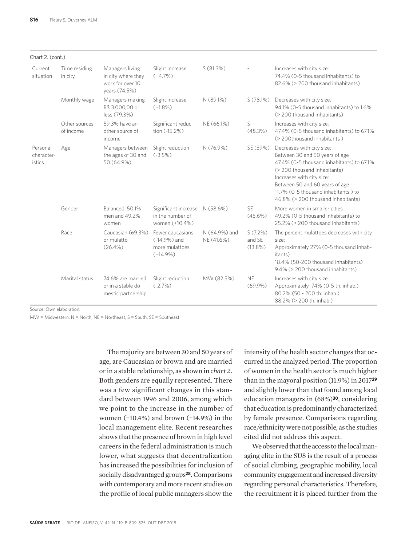| Chart 2. (cont.)                 |                            |                                                                            |                                                                  |                             |                                 |                                                                                                                                                                                                                                                                                      |
|----------------------------------|----------------------------|----------------------------------------------------------------------------|------------------------------------------------------------------|-----------------------------|---------------------------------|--------------------------------------------------------------------------------------------------------------------------------------------------------------------------------------------------------------------------------------------------------------------------------------|
| Current<br>situation             | Time residing<br>in city   | Managers living<br>in city where they<br>work for over 10<br>vears (74.5%) | Slight increase<br>$(+4.7%)$                                     | S(81.3%)                    |                                 | Increases with city size:<br>74.4% (0-5 thousand inhabitants) to<br>82.6% (> 200 thousand inhabitants)                                                                                                                                                                               |
|                                  | Monthly wage               | Managers making<br>R\$ 3.000,00 or<br>less (79.3%)                         | Slight increase<br>$(+1.8%)$                                     | N (89.1%)                   | S(78.1%)                        | Decreases with city size:<br>94.1% (0-5 thousand inhabitants) to 1.6%<br>(> 200 thousand inhabitants)                                                                                                                                                                                |
|                                  | Other sources<br>of income | 59.3% have an-<br>other source of<br>income                                | Significant reduc-<br>tion (-15.2%)                              | NE (66.1%)                  | S<br>(48.3%)                    | Increases with city size:<br>47.4% (0-5 thousand inhabitants) to 67.1%<br>(> 200thousand inhabitants)                                                                                                                                                                                |
| Personal<br>character-<br>istics | Age                        | Managers between<br>the ages of 30 and<br>50 (64.9%)                       | Slight reduction<br>$(-3.5%)$                                    | N (76.9%)                   | SE (59%)                        | Decreases with city size:<br>Between 30 and 50 years of age<br>47.4% (0-5 thousand inhabitants) to 67.1%<br>(> 200 thousand inhabitants)<br>Increases with city size:<br>Between 50 and 60 years of age<br>11.7% (0-5 thousand inhabitants) to<br>46.8% (> 200 thousand inhabitants) |
|                                  | Gender                     | Balanced: 50.1%<br>men and 49.2%<br>women                                  | Significant increase<br>in the number of<br>women (+10.4%)       | N (58.6%)                   | <b>SE</b><br>$(45.6\%)$         | More women in smaller cities<br>49.2% (0-5 thousand inhabitants) to<br>25.2% (> 200 thousand inhabitants)                                                                                                                                                                            |
|                                  | Race                       | Caucasian (69.3%)<br>or mulatto<br>$(26.4\%)$                              | Fewer caucasians<br>(-14.9%) and<br>more mulattoes<br>$(+14.9%)$ | N (64.9%) and<br>NE (41.6%) | S(7.2%)<br>and SE<br>$(13.8\%)$ | The percent mulattoes decreases with city<br>size:<br>Approximately 27% (0-5 thousand inhab-<br>itants)<br>18.4% (50-200 thousand inhabitants)<br>9.4% (> 200 thousand inhabitants)                                                                                                  |
|                                  | Marital status             | 74.6% are married<br>or in a stable do-<br>mestic partnership              | Slight reduction<br>$(-2.7%)$                                    | MW (82.5%)                  | <b>NE</b><br>$(69.9\%)$         | Increases with city size:<br>Approximately 74% (0-5 th. inhab.)<br>80.2% (50 - 200 th. inhab.)<br>88.2% (> 200 th. inhab.)                                                                                                                                                           |

Source: Own elaboration.

MW = Midwestern, N = North, NE = Northeast, S = South, SE = Southeast.

The majority are between 30 and 50 years of age, are Caucasian or brown and are married or in a stable relationship, as shown in *chart 2*. Both genders are equally represented. There was a few significant changes in this standard between 1996 and 2006, among which we point to the increase in the number of women (+10.4%) and brown (+14.9%) in the local management elite. Recent researches shows that the presence of brown in high level careers in the federal administration is much lower, what suggests that decentralization has increased the possibilities for inclusion of socially disadvantaged groups**28**. Comparisons with contemporary and more recent studies on the profile of local public managers show the

intensity of the health sector changes that occurred in the analyzed period. The proportion of women in the health sector is much higher than in the mayoral position (11.9%) in 2017**<sup>29</sup>** and slightly lower than that found among local education managers in (68%)**30**, considering that education is predominantly characterized by female presence. Comparisons regarding race/ethnicity were not possible, as the studies cited did not address this aspect.

We observed that the access to the local managing elite in the SUS is the result of a process of social climbing, geographic mobility, local community engagement and increased diversity regarding personal characteristics. Therefore, the recruitment it is placed further from the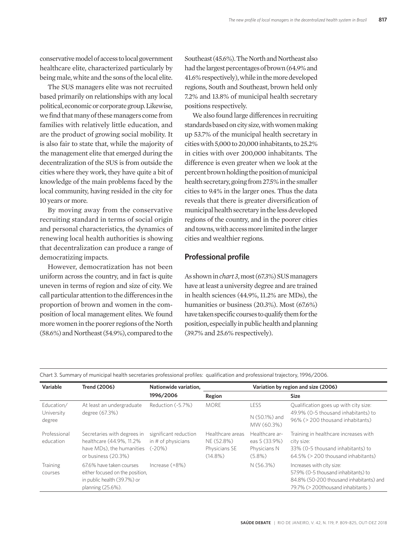conservative model of access to local government healthcare elite, characterized particularly by being male, white and the sons of the local elite.

The SUS managers elite was not recruited based primarily on relationships with any local political, economic or corporate group. Likewise, we find that many of these managers come from families with relatively little education, and are the product of growing social mobility. It is also fair to state that, while the majority of the management elite that emerged during the decentralization of the SUS is from outside the cities where they work, they have quite a bit of knowledge of the main problems faced by the local community, having resided in the city for 10 years or more.

By moving away from the conservative recruiting standard in terms of social origin and personal characteristics, the dynamics of renewing local health authorities is showing that decentralization can produce a range of democratizing impacts.

However, democratization has not been uniform across the country, and in fact is quite uneven in terms of region and size of city. We call particular attention to the differences in the proportion of brown and women in the composition of local management elites. We found more women in the poorer regions of the North (58.6%) and Northeast (54.9%), compared to the Southeast (45.6%). The North and Northeast also had the largest percentages of brown (64.9% and 41.6% respectively), while in the more developed regions, South and Southeast, brown held only 7.2% and 13.8% of municipal health secretary positions respectively.

We also found large differences in recruiting standards based on city size, with women making up 53.7% of the municipal health secretary in cities with 5,000 to 20,000 inhabitants, to 25.2% in cities with over 200,000 inhabitants. The difference is even greater when we look at the percent brown holding the position of municipal health secretary, going from 27.5% in the smaller cities to 9.4% in the larger ones. Thus the data reveals that there is greater diversification of municipal health secretary in the less developed regions of the country, and in the poorer cities and towns, with access more limited in the larger cities and wealthier regions.

#### **Professional profile**

As shown in *chart 3*, most (67.3%) SUS managers have at least a university degree and are trained in health sciences (44.9%, 11.2% are MDs), the humanities or business (20.3%). Most (67.6%) have taken specific courses to qualify them for the position, especially in public health and planning (39.7% and 25.6% respectively).

| Chart 3. Summary of municipal health secretaries professional profiles: qualification and professional trajectory, 1996/2006. |  |  |  |  |  |  |  |
|-------------------------------------------------------------------------------------------------------------------------------|--|--|--|--|--|--|--|
|-------------------------------------------------------------------------------------------------------------------------------|--|--|--|--|--|--|--|

| Variable                  | <b>Trend (2006)</b>                                                                                             | Nationwide variation,                                     | Variation by region and size (2006)                           |                                                              |                                                                                                                                                  |  |  |
|---------------------------|-----------------------------------------------------------------------------------------------------------------|-----------------------------------------------------------|---------------------------------------------------------------|--------------------------------------------------------------|--------------------------------------------------------------------------------------------------------------------------------------------------|--|--|
|                           |                                                                                                                 | 1996/2006                                                 | Region                                                        |                                                              | <b>Size</b>                                                                                                                                      |  |  |
| Education/                | At least an undergraduate                                                                                       | Reduction (-5.7%)                                         | <b>MORF</b>                                                   | LESS                                                         | Qualification goes up with city size:                                                                                                            |  |  |
| University<br>degree      | degree (67.3%)                                                                                                  |                                                           |                                                               | N (50.1%) and<br>MW (60.3%)                                  | 49.9% (0-5 thousand inhabitants) to<br>96% (> 200 thousand inhabitants)                                                                          |  |  |
| Professional<br>education | Secretaries with degrees in<br>healthcare (44.9%, 11.2%<br>have MDs), the humanities<br>or business (20.3%)     | significant reduction<br>in $#$ of physicians<br>$(-20%)$ | Healthcare areas<br>NE (52.8%)<br>Physicians SE<br>$(14.8\%)$ | Healthcare ar-<br>eas S (33.9%)<br>Physicians N<br>$(5.8\%)$ | Training in healthcare increases with<br>city size:<br>33% (0-5 thousand inhabitants) to<br>64.5% (> 200 thousand inhabitants)                   |  |  |
| Training<br>courses       | 67.6% have taken courses<br>either focused on the position,<br>in public health (39.7%) or<br>planning (25.6%). | Increase (+8%)                                            |                                                               | N (56.3%)                                                    | Increases with city size:<br>57.9% (0-5 thousand inhabitants) to<br>84.8% (50-200 thousand inhabitants) and<br>79.7% (> 200thousand inhabitants) |  |  |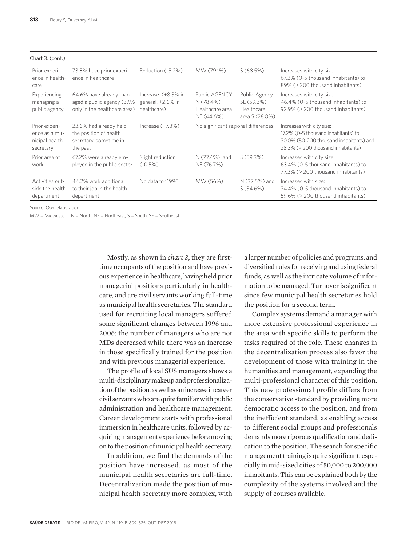| Chart 3. (cont.)                                              |                                                                                        |                                                        |                                                             |                                                             |                                                                                                                                                   |
|---------------------------------------------------------------|----------------------------------------------------------------------------------------|--------------------------------------------------------|-------------------------------------------------------------|-------------------------------------------------------------|---------------------------------------------------------------------------------------------------------------------------------------------------|
| Prior experi-<br>ence in health-<br>care                      | 73.8% have prior experi-<br>ence in healthcare                                         | Reduction (-5.2%)                                      | MW (79.1%)                                                  | S(68.5%)                                                    | Increases with city size:<br>67.2% (0-5 thousand inhabitants) to<br>89% (> 200 thousand inhabitants)                                              |
| Experiencing<br>managing a<br>public agency                   | 64.6% have already man-<br>aged a public agency (37.%<br>only in the healthcare area)  | Increase (+8.3% in<br>general, +2.6% in<br>healthcare) | Public AGENCY<br>N (78.4%)<br>Healthcare area<br>NE (44.6%) | Public Agency<br>SE (59.3%)<br>Healthcare<br>area S (28.8%) | Increases with city size:<br>46.4% (0-5 thousand inhabitants) to<br>92.9% (> 200 thousand inhabitants)                                            |
| Prior experi-<br>ence as a mu-<br>nicipal health<br>secretary | 23.6% had already held<br>the position of health<br>secretary, sometime in<br>the past | Increase $(+7.3%)$                                     | No significant regional differences                         |                                                             | Increases with city size:<br>17.2% (0-5 thousand inhabitants) to<br>30.0% (50-200 thousand inhabitants) and<br>28.3% (> 200 thousand inhabitants) |
| Prior area of<br>work                                         | 67.2% were already em-<br>ployed in the public sector                                  | Slight reduction<br>$(-0.5%)$                          | $N(77.4%)$ and<br>NE (76.7%)                                | $S(59.3\%)$                                                 | Increases with city size:<br>63.4% (0-5 thousand inhabitants) to<br>77.2% (> 200 thousand inhabitants)                                            |
| Activities out-<br>side the health<br>department              | 44.2% work additional<br>to their job in the health<br>department                      | No data for 1996                                       | MW (56%)                                                    | N (32.5%) and<br>S(34.6%)                                   | Increases with size:<br>34.4% (0-5 thousand inhabitants) to<br>59.6% (> 200 thousand inhabitants)                                                 |

Source: Own elaboration.

 $MW = Midwestern$ ,  $N = North$ ,  $NE = North$  and  $S = South$ ,  $SE = South$  and  $S = Math$ .

Mostly, as shown in *chart 3*, they are firsttime occupants of the position and have previous experience in healthcare, having held prior managerial positions particularly in healthcare, and are civil servants working full-time as municipal health secretaries. The standard used for recruiting local managers suffered some significant changes between 1996 and 2006: the number of managers who are not MDs decreased while there was an increase in those specifically trained for the position and with previous managerial experience.

The profile of local SUS managers shows a multi-disciplinary makeup and professionalization of the position, as well as an increase in career civil servants who are quite familiar with public administration and healthcare management. Career development starts with professional immersion in healthcare units, followed by acquiring management experience before moving on to the position of municipal health secretary.

In addition, we find the demands of the position have increased, as most of the municipal health secretaries are full-time. Decentralization made the position of municipal health secretary more complex, with

a larger number of policies and programs, and diversified rules for receiving and using federal funds, as well as the intricate volume of information to be managed. Turnover is significant since few municipal health secretaries hold the position for a second term.

Complex systems demand a manager with more extensive professional experience in the area with specific skills to perform the tasks required of the role. These changes in the decentralization process also favor the development of those with training in the humanities and management, expanding the multi-professional character of this position. This new professional profile differs from the conservative standard by providing more democratic access to the position, and from the inefficient standard, as enabling access to different social groups and professionals demands more rigorous qualification and dedication to the position. The search for specific management training is quite significant, especially in mid-sized cities of 50,000 to 200,000 inhabitants. This can be explained both by the complexity of the systems involved and the supply of courses available.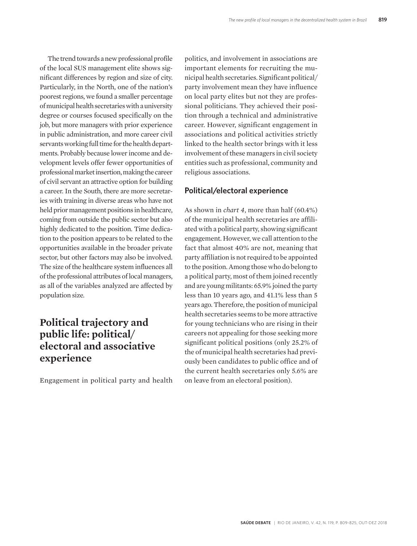The trend towards a new professional profile of the local SUS management elite shows significant differences by region and size of city. Particularly, in the North, one of the nation's poorest regions, we found a smaller percentage of municipal health secretaries with a university degree or courses focused specifically on the job, but more managers with prior experience in public administration, and more career civil servants working full time for the health departments. Probably because lower income and development levels offer fewer opportunities of professional market insertion, making the career of civil servant an attractive option for building a career. In the South, there are more secretaries with training in diverse areas who have not held prior management positions in healthcare, coming from outside the public sector but also highly dedicated to the position. Time dedication to the position appears to be related to the opportunities available in the broader private sector, but other factors may also be involved. The size of the healthcare system influences all of the professional attributes of local managers, as all of the variables analyzed are affected by population size.

# **Political trajectory and public life: political/ electoral and associative experience**

Engagement in political party and health

politics, and involvement in associations are important elements for recruiting the municipal health secretaries. Significant political/ party involvement mean they have influence on local party elites but not they are professional politicians. They achieved their position through a technical and administrative career. However, significant engagement in associations and political activities strictly linked to the health sector brings with it less involvement of these managers in civil society entities such as professional, community and religious associations.

#### **Political/electoral experience**

As shown in *chart 4*, more than half (60.4%) of the municipal health secretaries are affiliated with a political party, showing significant engagement. However, we call attention to the fact that almost 40% are not, meaning that party affiliation is not required to be appointed to the position. Among those who do belong to a political party, most of them joined recently and are young militants: 65.9% joined the party less than 10 years ago, and 41.1% less than 5 years ago. Therefore, the position of municipal health secretaries seems to be more attractive for young technicians who are rising in their careers not appealing for those seeking more significant political positions (only 25.2% of the of municipal health secretaries had previously been candidates to public office and of the current health secretaries only 5.6% are on leave from an electoral position).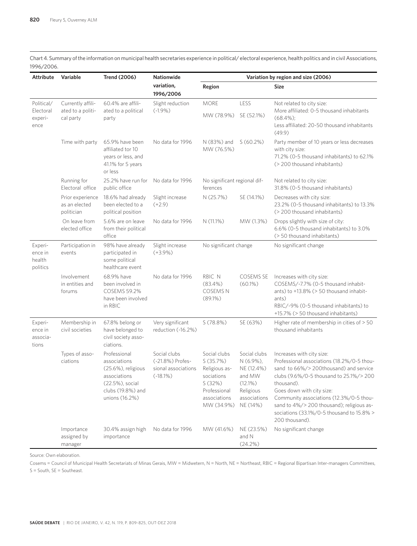Chart 4. Summary of the information on municipal health secretaries experience in political/ electoral experience, health politics and in civil Associations, 1996/2006.

| <b>Attribute</b>                           | Variable                                            | <b>Trend (2006)</b>                                                                                                          | Nationwide                                                            | Variation by region and size (2006)                                                                             |                                                                                                          |                                                                                                                                                                                                                                                                                                                                                               |  |
|--------------------------------------------|-----------------------------------------------------|------------------------------------------------------------------------------------------------------------------------------|-----------------------------------------------------------------------|-----------------------------------------------------------------------------------------------------------------|----------------------------------------------------------------------------------------------------------|---------------------------------------------------------------------------------------------------------------------------------------------------------------------------------------------------------------------------------------------------------------------------------------------------------------------------------------------------------------|--|
|                                            |                                                     |                                                                                                                              | variation,<br>1996/2006                                               | Region                                                                                                          |                                                                                                          | <b>Size</b>                                                                                                                                                                                                                                                                                                                                                   |  |
| Political/<br>Electoral<br>experi-<br>ence | Currently affili-<br>ated to a politi-<br>cal party | 60.4% are affili-<br>ated to a political<br>party                                                                            | Slight reduction<br>$(-1.9\%)$                                        | <b>MORE</b><br>MW (78.9%)                                                                                       | LESS<br>SE (52.1%)                                                                                       | Not related to city size:<br>More affiliated: 0-5 thousand inhabitants<br>$(68.4\%)$<br>Less affiliated: 20-50 thousand inhabitants<br>(49.9)                                                                                                                                                                                                                 |  |
|                                            | Time with party                                     | 65.9% have been<br>affiliated tor 10<br>years or less, and<br>41.1% for 5 years<br>or less                                   | No data for 1996                                                      | N (83%) and<br>MW (76.5%)                                                                                       | $S(60.2\%)$                                                                                              | Party member of 10 years or less decreases<br>with city size:<br>71.2% (0-5 thousand inhabitants) to 62.1%<br>(> 200 thousand inhabitants)                                                                                                                                                                                                                    |  |
|                                            | Running for<br>Electoral office                     | 25.2% have run for<br>public office                                                                                          | No data for 1996                                                      | No significant regional dif-<br>ferences                                                                        |                                                                                                          | Not related to city size:<br>31.8% (0-5 thousand inhabitants)                                                                                                                                                                                                                                                                                                 |  |
|                                            | Prior experience<br>as an elected<br>politician     | 18.6% had already<br>been elected to a<br>political position                                                                 | Slight increase<br>$(+2.9)$                                           | N (25.7%)                                                                                                       | SE (14.1%)                                                                                               | Decreases with city size:<br>23.2% (0-5 thousand inhabitants) to 13.3%<br>(> 200 thousand inhabitants)                                                                                                                                                                                                                                                        |  |
|                                            | On leave from<br>elected office                     | 5.6% are on leave<br>from their political<br>office                                                                          | No data for 1996                                                      | N (11.1%)                                                                                                       | MW (1.3%)                                                                                                | Drops slightly with size of city:<br>6.6% (0-5 thousand inhabitants) to 3.0%<br>(> 50 thousand inhabitants)                                                                                                                                                                                                                                                   |  |
| Experi-<br>ence in<br>health<br>politics   | Participation in<br>events                          | 98% have already<br>participated in<br>some political<br>healthcare event                                                    | Slight increase<br>$(+3.9%)$                                          | No significant change                                                                                           |                                                                                                          | No significant change                                                                                                                                                                                                                                                                                                                                         |  |
|                                            | Involvement<br>in entities and<br>forums            | 68.9% have<br>been involved in<br><b>COSEMS 59.2%</b><br>have been involved<br>in RBIC                                       | No data for 1996                                                      | RBIC N<br>$(83.4\%)$<br><b>COSEMS N</b><br>(89.1%)                                                              | COSEMS SE<br>$(60.1\%)$                                                                                  | Increases with city size:<br>COSEMS/-7.7% (0-5 thousand inhabit-<br>ants) to +13.8% (> 50 thousand inhabit-<br>ants)<br>RBIC/-9% (0-5 thousand inhabitants) to<br>+15.7% (> 50 thousand inhabitants)                                                                                                                                                          |  |
| Experi-<br>ence in<br>associa-<br>tions    | Membership in<br>civil societies                    | 67.8% belong or<br>have belonged to<br>civil society asso-<br>ciations.                                                      | Very significant<br>reduction (-16.2%)                                | S(78.8%)                                                                                                        | SE (63%)                                                                                                 | Higher rate of membership in cities of > 50<br>thousand inhabitants                                                                                                                                                                                                                                                                                           |  |
|                                            | Types of asso-<br>ciations                          | Professional<br>associations<br>(25.6%), religious<br>associations<br>(22.5%), social<br>clubs (19.8%) and<br>unions (16.2%) | Social clubs<br>(-21.8%) Profes-<br>sional associations<br>$(-18.1%)$ | Social clubs<br>S(35.7%)<br>Religious as-<br>sociations<br>S(32%)<br>Professional<br>associations<br>MW (34.9%) | Social clubs<br>N (6.9%),<br>NE (12.4%)<br>and MW<br>$(12.1\%)$<br>Religious<br>associations<br>NE (14%) | Increases with city size:<br>Professional associations (18.2%/0-5 thou-<br>sand to 66%/>200thousand) and service<br>clubs (9.6%/0-5 thousand to 25.1%/> 200<br>thousand).<br>Goes down with city size:<br>Community associations (12.3%/0-5 thou-<br>sand to 4%/> 200 thousand); religious as-<br>sociations (33.1%/0-5 thousand to 15.8% ><br>200 thousand). |  |
|                                            | Importance<br>assigned by<br>manager                | 30.4% assign high<br>importance                                                                                              | No data for 1996                                                      | MW (41.6%)                                                                                                      | NE (23.5%)<br>and N<br>$(24.2\%)$                                                                        | No significant change                                                                                                                                                                                                                                                                                                                                         |  |

Source: Own elaboration.

Cosems = Council of Municipal Health Secretariats of Minas Gerais, MW = Midwetern, N = North, NE = Northeast, RBIC = Regional Bipartisan Inter-managers Committees, S = South, SE = Southeast.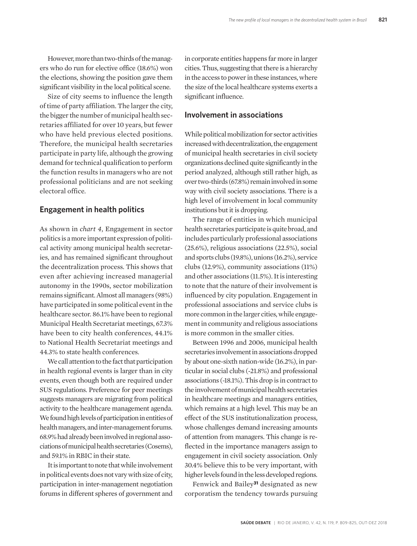However, more than two-thirds of the managers who do run for elective office (18.6%) won the elections, showing the position gave them significant visibility in the local political scene.

Size of city seems to influence the length of time of party affiliation. The larger the city, the bigger the number of municipal health secretaries affiliated for over 10 years, but fewer who have held previous elected positions. Therefore, the municipal health secretaries participate in party life, although the growing demand for technical qualification to perform the function results in managers who are not professional politicians and are not seeking electoral office.

#### **Engagement in health politics**

As shown in *chart 4*, Engagement in sector politics is a more important expression of political activity among municipal health secretaries, and has remained significant throughout the decentralization process. This shows that even after achieving increased managerial autonomy in the 1990s, sector mobilization remains significant. Almost all managers (98%) have participated in some political event in the healthcare sector. 86.1% have been to regional Municipal Health Secretariat meetings, 67.3% have been to city health conferences, 44.1% to National Health Secretariat meetings and 44.3% to state health conferences.

We call attention to the fact that participation in health regional events is larger than in city events, even though both are required under SUS regulations. Preference for peer meetings suggests managers are migrating from political activity to the healthcare management agenda. We found high levels of participation in entities of health managers, and inter-management forums. 68.9% had already been involved in regional associations of municipal health secretaries (Cosems), and 59.1% in RBIC in their state.

It is important to note that while involvement in political events does not vary with size of city, participation in inter-management negotiation forums in different spheres of government and in corporate entities happens far more in larger cities. Thus, suggesting that there is a hierarchy in the access to power in these instances, where the size of the local healthcare systems exerts a significant influence.

#### **Involvement in associations**

While political mobilization for sector activities increased with decentralization, the engagement of municipal health secretaries in civil society organizations declined quite significantly in the period analyzed, although still rather high, as over two-thirds (67.8%) remain involved in some way with civil society associations. There is a high level of involvement in local community institutions but it is dropping.

The range of entities in which municipal health secretaries participate is quite broad, and includes particularly professional associations (25.6%), religious associations (22.5%), social and sports clubs (19.8%), unions (16.2%), service clubs (12.9%), community associations (11%) and other associations (11.5%). It is interesting to note that the nature of their involvement is influenced by city population. Engagement in professional associations and service clubs is more common in the larger cities, while engagement in community and religious associations is more common in the smaller cities.

Between 1996 and 2006, municipal health secretaries involvement in associations dropped by about one-sixth nation-wide (16.2%), in particular in social clubs (-21.8%) and professional associations (-18.1%). This drop is in contract to the involvement of municipal health secretaries in healthcare meetings and managers entities, which remains at a high level. This may be an effect of the SUS institutionalization process, whose challenges demand increasing amounts of attention from managers. This change is reflected in the importance managers assign to engagement in civil society association. Only 30.4% believe this to be very important, with higher levels found in the less developed regions.

Fenwick and Bailey**31** designated as new corporatism the tendency towards pursuing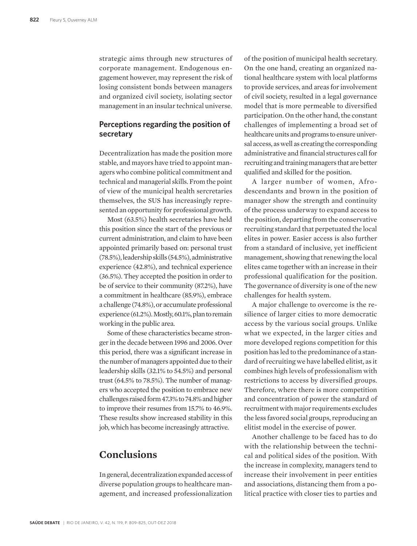strategic aims through new structures of corporate management. Endogenous engagement however, may represent the risk of losing consistent bonds between managers and organized civil society, isolating sector management in an insular technical universe.

#### **Perceptions regarding the position of secretary**

Decentralization has made the position more stable, and mayors have tried to appoint managers who combine political commitment and technical and managerial skills. From the point of view of the municipal health sercretaries themselves, the SUS has increasingly represented an opportunity for professional growth.

Most (63.5%) health secretaries have held this position since the start of the previous or current administration, and claim to have been appointed primarily based on: personal trust (78.5%), leadership skills (54.5%), administrative experience (42.8%), and technical experience (36.5%). They accepted the position in order to be of service to their community (87.2%), have a commitment in healthcare (85.9%), embrace a challenge (74.8%), or accumulate professional experience (61.2%). Mostly, 60.1%, plan to remain working in the public area.

Some of these characteristics became stronger in the decade between 1996 and 2006. Over this period, there was a significant increase in the number of managers appointed due to their leadership skills (32.1% to 54.5%) and personal trust (64.5% to 78.5%). The number of managers who accepted the position to embrace new challenges raised form 47.3% to 74.8% and higher to improve their resumes from 15.7% to 46.9%. These results show increased stability in this job, which has become increasingly attractive.

### **Conclusions**

In general, decentralization expanded access of diverse population groups to healthcare management, and increased professionalization

of the position of municipal health secretary. On the one hand, creating an organized national healthcare system with local platforms to provide services, and areas for involvement of civil society, resulted in a legal governance model that is more permeable to diversified participation. On the other hand, the constant challenges of implementing a broad set of healthcare units and programs to ensure universal access, as well as creating the corresponding administrative and financial structures call for recruiting and training managers that are better qualified and skilled for the position.

A larger number of women, Afrodescendants and brown in the position of manager show the strength and continuity of the process underway to expand access to the position, departing from the conservative recruiting standard that perpetuated the local elites in power. Easier access is also further from a standard of inclusive, yet inefficient management, showing that renewing the local elites came together with an increase in their professional qualification for the position. The governance of diversity is one of the new challenges for health system.

A major challenge to overcome is the resilience of larger cities to more democratic access by the various social groups. Unlike what we expected, in the larger cities and more developed regions competition for this position has led to the predominance of a standard of recruiting we have labelled elitist, as it combines high levels of professionalism with restrictions to access by diversified groups. Therefore, where there is more competition and concentration of power the standard of recruitment with major requirements excludes the less favored social groups, reproducing an elitist model in the exercise of power.

Another challenge to be faced has to do with the relationship between the technical and political sides of the position. With the increase in complexity, managers tend to increase their involvement in peer entities and associations, distancing them from a political practice with closer ties to parties and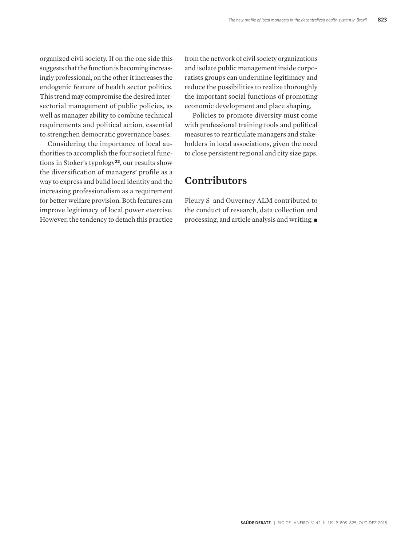organized civil society. If on the one side this suggests that the function is becoming increasingly professional, on the other it increases the endogenic feature of health sector politics. This trend may compromise the desired intersectorial management of public policies, as well as manager ability to combine technical requirements and political action, essential to strengthen democratic governance bases.

Considering the importance of local authorities to accomplish the four societal functions in Stoker's typology**22**, our results show the diversification of managers' profile as a way to express and build local identity and the increasing professionalism as a requirement for better welfare provision. Both features can improve legitimacy of local power exercise. However, the tendency to detach this practice from the network of civil society organizations and isolate public management inside corporatists groups can undermine legitimacy and reduce the possibilities to realize thoroughly the important social functions of promoting economic development and place shaping.

Policies to promote diversity must come with professional training tools and political measures to rearticulate managers and stakeholders in local associations, given the need to close persistent regional and city size gaps.

### **Contributors**

Fleury S and Ouverney ALM contributed to the conduct of research, data collection and processing, and article analysis and writing.  $\blacksquare$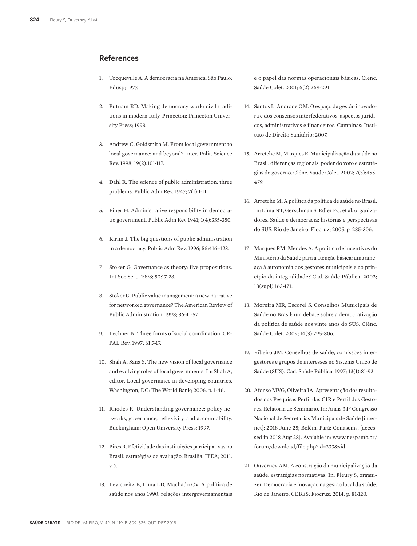#### **References**

- 1. Tocqueville A. A democracia na América. São Paulo: Edusp; 1977.
- 2. Putnam RD. Making democracy work: civil traditions in modern Italy. Princeton: Princeton University Press; 1993.
- 3. Andrew C, Goldsmith M. From local government to local governance: and beyond? Inter. Polit. Science Rev. 1998; 19(2):101-117.
- 4. Dahl R. The science of public administration: three problems. Public Adm Rev. 1947; 7(1):1-11.
- 5. Finer H. Administrative responsibility in democratic government. Public Adm Rev 1941; 1(4):335-350.
- 6. Kirlin J. The big questions of public administration in a democracy. Public Adm Rev. 1996; 56:416-423.
- 7. Stoker G. Governance as theory: five propositions. Int Soc Sci J. 1998; 50:17-28.
- 8. Stoker G. Public value management: a new narrative for networked governance? The American Review of Public Administration. 1998; 36:41-57.
- 9. Lechner N. Three forms of social coordination. CE-PAL Rev. 1997; 61:7-17.
- 10. Shah A, Sana S. The new vision of local governance and evolving roles of local governments. In: Shah A, editor. Local governance in developing countries. Washington, DC: The World Bank; 2006. p. 1-46.
- 11. Rhodes R. Understanding governance: policy networks, governance, reflexivity, and accountability. Buckingham: Open University Press; 1997.
- 12. Pires R. Efetividade das instituições participativas no Brasil: estratégias de avaliação. Brasília: IPEA; 2011. v. 7.
- 13. Levicovitz E, Lima LD, Machado CV. A política de saúde nos anos 1990: relações intergovernamentais

e o papel das normas operacionais básicas. Ciênc. Saúde Colet. 2001; 6(2):269-291.

- 14. Santos L, Andrade OM. O espaço da gestão inovadora e dos consensos interfederativos: aspectos jurídicos, administrativos e financeiros. Campinas: Instituto de Direito Sanitário; 2007.
- 15. Arretche M, Marques E. Municipalização da saúde no Brasil: diferenças regionais, poder do voto e estratégias de governo. Ciênc. Saúde Colet. 2002; 7(3):455- 479.
- 16. Arretche M. A política da política de saúde no Brasil. In: Lima NT, Gerschman S, Edler FC, et al, organizadores. Saúde e democracia: histórias e perspectivas do SUS. Rio de Janeiro: Fiocruz; 2005. p. 285-306.
- 17. Marques RM, Mendes A. A política de incentivos do Ministério da Saúde para a atenção básica: uma ameaça à autonomia dos gestores municipais e ao princípio da integralidade? Cad. Saúde Pública. 2002; 18(supl):163-171.
- 18. Moreira MR, Escorel S. Conselhos Municipais de Saúde no Brasil: um debate sobre a democratização da política de saúde nos vinte anos do SUS. Ciênc. Saúde Colet. 2009; 14(3):795-806.
- 19. Ribeiro JM. Conselhos de saúde, comissões intergestores e grupos de interesses no Sistema Único de Saúde (SUS). Cad. Saúde Pública. 1997; 13(1):81-92.
- 20. Afonso MVG, Oliveira IA. Apresentação dos resultados das Pesquisas Perfil das CIR e Perfil dos Gestores. Relatoria de Seminário. In: Anais 34º Congresso Nacional de Secretarias Municipais de Saúde [internet]; 2018 June 25; Belém. Pará: Conasems. [accessed in 2018 Aug 28]. Avaiable in: www.nesp.unb.br/ forum/download/file.php?id=333&sid.
- 21. Ouverney AM. A construção da municipalização da saúde: estratégias normativas. In: Fleury S, organizer. Democracia e inovação na gestão local da saúde. Rio de Janeiro: CEBES; Fiocruz; 2014. p. 81-120.